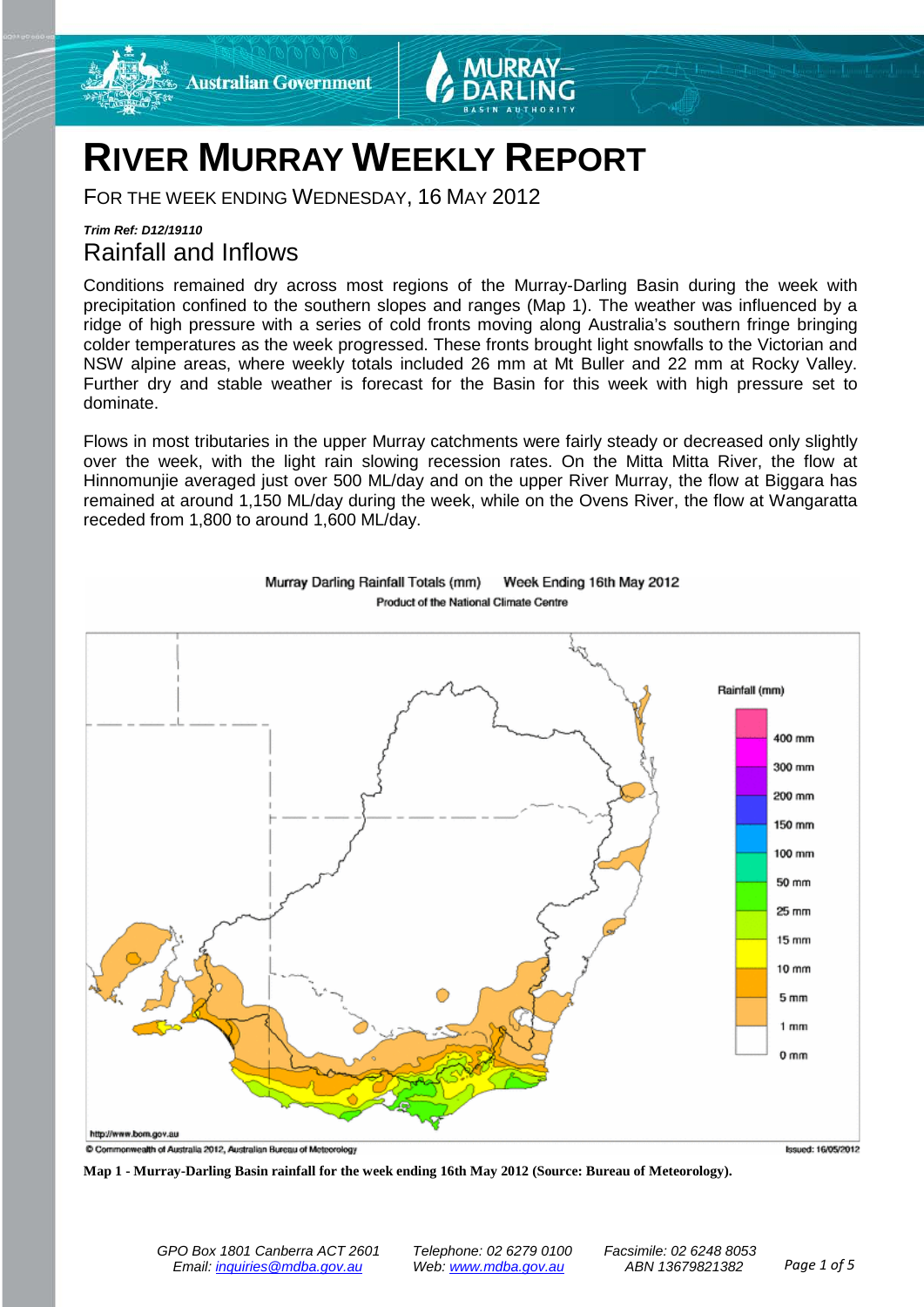

# **RIVER MURRAY WEEKLY REPORT**

FOR THE WEEK ENDING WEDNESDAY, 16 MAY 2012

# *Trim Ref: D12/19110* Rainfall and Inflows

Conditions remained dry across most regions of the Murray-Darling Basin during the week with precipitation confined to the southern slopes and ranges (Map 1). The weather was influenced by a ridge of high pressure with a series of cold fronts moving along Australia's southern fringe bringing colder temperatures as the week progressed. These fronts brought light snowfalls to the Victorian and NSW alpine areas, where weekly totals included 26 mm at Mt Buller and 22 mm at Rocky Valley. Further dry and stable weather is forecast for the Basin for this week with high pressure set to dominate.

Flows in most tributaries in the upper Murray catchments were fairly steady or decreased only slightly over the week, with the light rain slowing recession rates. On the Mitta Mitta River, the flow at Hinnomunjie averaged just over 500 ML/day and on the upper River Murray, the flow at Biggara has remained at around 1,150 ML/day during the week, while on the Ovens River, the flow at Wangaratta receded from 1,800 to around 1,600 ML/day.



Murray Darling Rainfall Totals (mm) Week Ending 16th May 2012 Product of the National Climate Centre

**Map 1 - Murray-Darling Basin rainfall for the week ending 16th May 2012 (Source: Bureau of Meteorology).**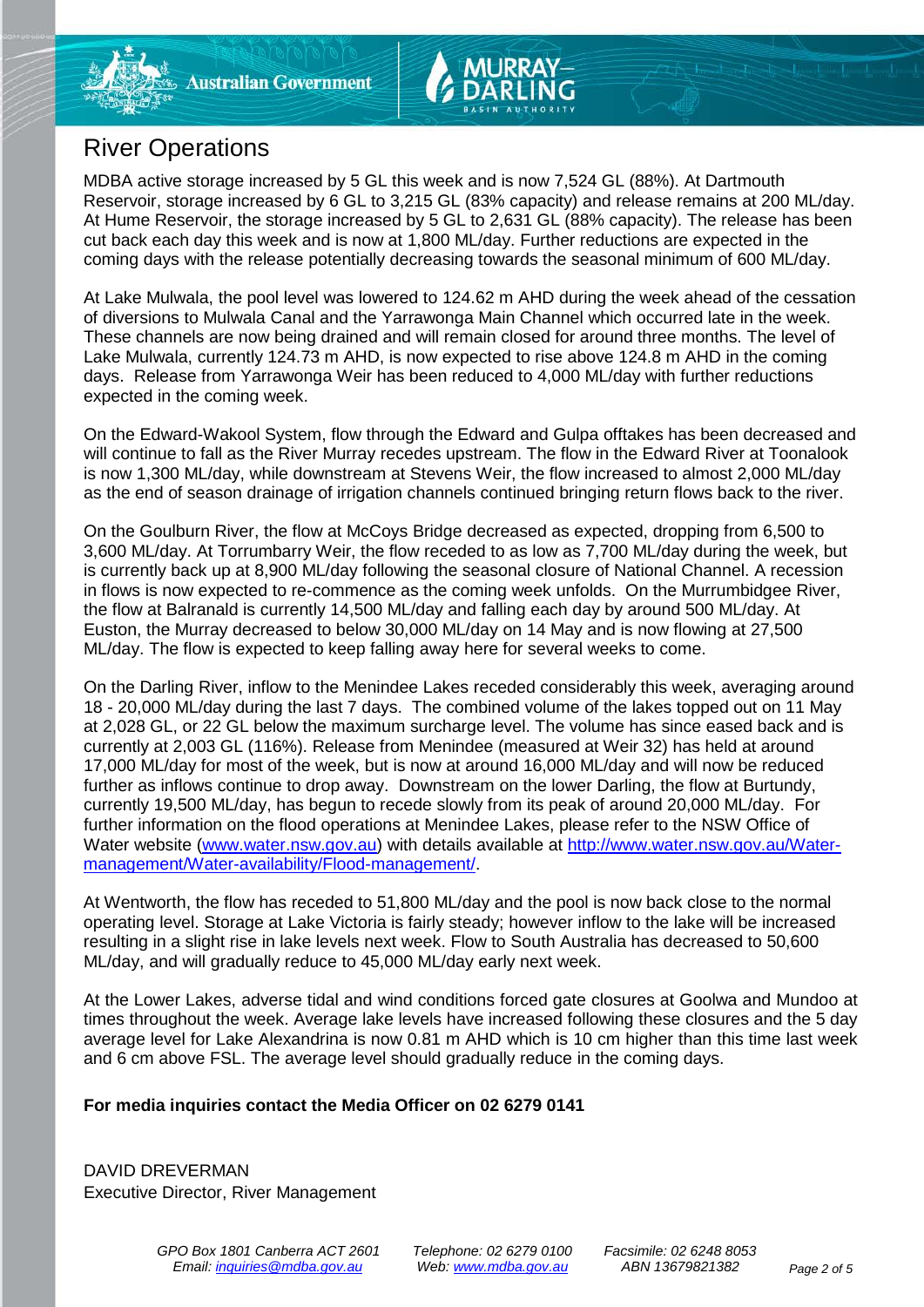# River Operations

MDBA active storage increased by 5 GL this week and is now 7,524 GL (88%). At Dartmouth Reservoir, storage increased by 6 GL to 3,215 GL (83% capacity) and release remains at 200 ML/day. At Hume Reservoir, the storage increased by 5 GL to 2,631 GL (88% capacity). The release has been cut back each day this week and is now at 1,800 ML/day. Further reductions are expected in the coming days with the release potentially decreasing towards the seasonal minimum of 600 ML/day.

At Lake Mulwala, the pool level was lowered to 124.62 m AHD during the week ahead of the cessation of diversions to Mulwala Canal and the Yarrawonga Main Channel which occurred late in the week. These channels are now being drained and will remain closed for around three months. The level of Lake Mulwala, currently 124.73 m AHD, is now expected to rise above 124.8 m AHD in the coming days. Release from Yarrawonga Weir has been reduced to 4,000 ML/day with further reductions expected in the coming week.

On the Edward-Wakool System, flow through the Edward and Gulpa offtakes has been decreased and will continue to fall as the River Murray recedes upstream. The flow in the Edward River at Toonalook is now 1,300 ML/day, while downstream at Stevens Weir, the flow increased to almost 2,000 ML/day as the end of season drainage of irrigation channels continued bringing return flows back to the river.

On the Goulburn River, the flow at McCoys Bridge decreased as expected, dropping from 6,500 to 3,600 ML/day. At Torrumbarry Weir, the flow receded to as low as 7,700 ML/day during the week, but is currently back up at 8,900 ML/day following the seasonal closure of National Channel. A recession in flows is now expected to re-commence as the coming week unfolds. On the Murrumbidgee River, the flow at Balranald is currently 14,500 ML/day and falling each day by around 500 ML/day. At Euston, the Murray decreased to below 30,000 ML/day on 14 May and is now flowing at 27,500 ML/day. The flow is expected to keep falling away here for several weeks to come.

On the Darling River, inflow to the Menindee Lakes receded considerably this week, averaging around 18 - 20,000 ML/day during the last 7 days. The combined volume of the lakes topped out on 11 May at 2,028 GL, or 22 GL below the maximum surcharge level. The volume has since eased back and is currently at 2,003 GL (116%). Release from Menindee (measured at Weir 32) has held at around 17,000 ML/day for most of the week, but is now at around 16,000 ML/day and will now be reduced further as inflows continue to drop away. Downstream on the lower Darling, the flow at Burtundy, currently 19,500 ML/day, has begun to recede slowly from its peak of around 20,000 ML/day. For further information on the flood operations at Menindee Lakes, please refer to the NSW Office of Water website [\(www.water.nsw.gov.au\)](http://www.water.nsw.gov.au/) with details available at [http://www.water.nsw.gov.au/Water](http://www.water.nsw.gov.au/Water-management/Water-availability/Flood-management/)[management/Water-availability/Flood-management/.](http://www.water.nsw.gov.au/Water-management/Water-availability/Flood-management/)

At Wentworth, the flow has receded to 51,800 ML/day and the pool is now back close to the normal operating level. Storage at Lake Victoria is fairly steady; however inflow to the lake will be increased resulting in a slight rise in lake levels next week. Flow to South Australia has decreased to 50,600 ML/day, and will gradually reduce to 45,000 ML/day early next week.

At the Lower Lakes, adverse tidal and wind conditions forced gate closures at Goolwa and Mundoo at times throughout the week. Average lake levels have increased following these closures and the 5 day average level for Lake Alexandrina is now 0.81 m AHD which is 10 cm higher than this time last week and 6 cm above FSL. The average level should gradually reduce in the coming days.

# **For media inquiries contact the Media Officer on 02 6279 0141**

DAVID DREVERMAN Executive Director, River Management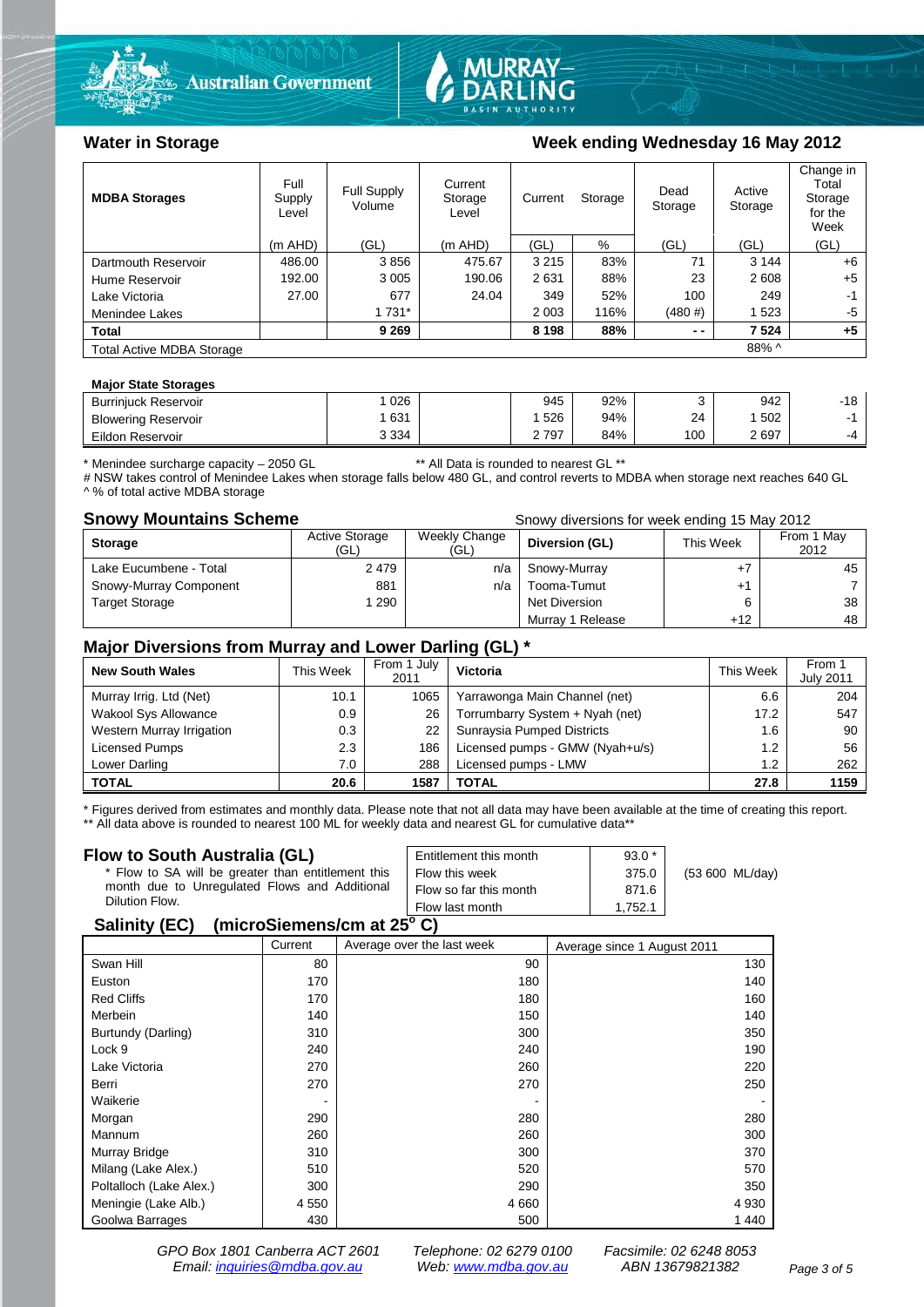



## Water in Storage **Water in Storage Week ending Wednesday 16 May 2012**

| <b>MDBA Storages</b>                      | Full<br>Supply<br>Level | Full Supply<br>Volume | Current<br>Storage<br>Level | Current<br>Storage |      | Dead<br>Storage | Active<br>Storage | Change in<br>Total<br>Storage<br>for the<br>Week |
|-------------------------------------------|-------------------------|-----------------------|-----------------------------|--------------------|------|-----------------|-------------------|--------------------------------------------------|
|                                           | $(m$ AHD)               | (GL)                  | (m AHD)                     | (GL)               | %    | (GL)            | (GL)              | (GL)                                             |
| Dartmouth Reservoir                       | 486.00                  | 3856                  | 475.67                      | 3 2 1 5            | 83%  | 71              | 3 1 4 4           | $+6$                                             |
| Hume Reservoir                            | 192.00                  | 3 0 0 5               | 190.06                      | 2631               | 88%  | 23              | 2608              | $+5$                                             |
| Lake Victoria                             | 27.00                   | 677                   | 24.04                       | 349                | 52%  | 100             | 249               | -1                                               |
| Menindee Lakes                            |                         | 1 731*                |                             | 2 0 0 3            | 116% | (480#)          | 1523              | -5                                               |
| <b>Total</b>                              |                         | 9 2 6 9               |                             | 8 1 9 8            | 88%  | $ -$            | 7 5 24            | $+5$                                             |
| 88% ^<br><b>Total Active MDBA Storage</b> |                         |                       |                             |                    |      |                 |                   |                                                  |

#### **Major State Storages**

| <b>Burriniuck Reservoir</b> | 026     | 945              | 92% |     | 942 | 10<br>10 |
|-----------------------------|---------|------------------|-----|-----|-----|----------|
| <b>Blowering Reservoir</b>  | 631     | 526              | 94% | 24  | 502 |          |
| Eildon Reservoir            | 3 3 3 4 | 2797<br><u>.</u> | 84% | 100 | 697 | $-4$     |

\* Menindee surcharge capacity – 2050 GL \*\* All Data is rounded to nearest GL \*\*

# NSW takes control of Menindee Lakes when storage falls below 480 GL, and control reverts to MDBA when storage next reaches 640 GL ^ % of total active MDBA storage

**Snowy Mountains Scheme Snowy diversions for week ending 15 May 2012** 

| <b>Storage</b>         | <b>Active Storage</b><br>(GL) | Weekly Change<br>(GL) | Diversion (GL)   | This Week | From 1 May<br>2012 |
|------------------------|-------------------------------|-----------------------|------------------|-----------|--------------------|
| Lake Eucumbene - Total | 2479                          | n/a                   | Snowy-Murray     |           | 45                 |
| Snowy-Murray Component | 881                           | n/a                   | Tooma-Tumut      |           |                    |
| <b>Target Storage</b>  | 290                           |                       | Net Diversion    |           | 38                 |
|                        |                               |                       | Murray 1 Release | +12       | 48                 |

### **Major Diversions from Murray and Lower Darling (GL) \***

| <b>New South Wales</b>    | This Week | From 1 July<br>2011 | Victoria                        | This Week | From 1<br><b>July 2011</b> |
|---------------------------|-----------|---------------------|---------------------------------|-----------|----------------------------|
| Murray Irrig. Ltd (Net)   | 10.1      | 1065                | Yarrawonga Main Channel (net)   | 6.6       | 204                        |
| Wakool Sys Allowance      | 0.9       | 26                  | Torrumbarry System + Nyah (net) | 17.2      | 547                        |
| Western Murray Irrigation | 0.3       | 22                  | Sunraysia Pumped Districts      | 1.6       | 90                         |
| Licensed Pumps            | 2.3       | 186                 | Licensed pumps - GMW (Nyah+u/s) | 1.2       | 56                         |
| Lower Darling             | 7.0       | 288                 | Licensed pumps - LMW            | 1.2       | 262                        |
| <b>TOTAL</b>              | 20.6      | 1587                | TOTAL                           | 27.8      | 1159                       |

\* Figures derived from estimates and monthly data. Please note that not all data may have been available at the time of creating this report. \*\* All data above is rounded to nearest 100 ML for weekly data and nearest GL for cumulative data\*\*

#### **Flow to South Australia (GL)**

| Flow to South Australia (GL)                              | Entitlement this month | $93.0*$ |                 |  |  |  |
|-----------------------------------------------------------|------------------------|---------|-----------------|--|--|--|
| * Flow to SA will be greater than entitlement this        | Flow this week         | 375.0   | (53 600 ML/day) |  |  |  |
| month due to Unregulated Flows and Additional             | Flow so far this month | 871.6   |                 |  |  |  |
| Dilution Flow.                                            | Flow last month        | 1.752.1 |                 |  |  |  |
| $\mathbf{A}$ , $\mathbf{B}$ , $\mathbf{A}$ , $\mathbf{B}$ |                        |         |                 |  |  |  |

### **Salinity (EC) (microSiemens/cm at 25o C)**

|                         | Current | Average over the last week | Average since 1 August 2011 |
|-------------------------|---------|----------------------------|-----------------------------|
| Swan Hill               | 80      | 90                         | 130                         |
| Euston                  | 170     | 180                        | 140                         |
| <b>Red Cliffs</b>       | 170     | 180                        | 160                         |
| Merbein                 | 140     | 150                        | 140                         |
| Burtundy (Darling)      | 310     | 300                        | 350                         |
| Lock 9                  | 240     | 240                        | 190                         |
| Lake Victoria           | 270     | 260                        | 220                         |
| Berri                   | 270     | 270                        | 250                         |
| Waikerie                |         |                            |                             |
| Morgan                  | 290     | 280                        | 280                         |
| Mannum                  | 260     | 260                        | 300                         |
| Murray Bridge           | 310     | 300                        | 370                         |
| Milang (Lake Alex.)     | 510     | 520                        | 570                         |
| Poltalloch (Lake Alex.) | 300     | 290                        | 350                         |
| Meningie (Lake Alb.)    | 4 5 5 0 | 4 6 6 0                    | 4 9 3 0                     |
| Goolwa Barrages         | 430     | 500                        | 1 4 4 0                     |

*GPO Box 1801 Canberra ACT 2601 Telephone: 02 6279 0100 Facsimile: 02 6248 8053 Email: [inquiries@mdba.gov.au](mailto:inquiries@mdba.gov.au) Web: [www.mdba.gov.au](http://www.mdba.gov.au/) ABN 13679821382 Page 3 of 5*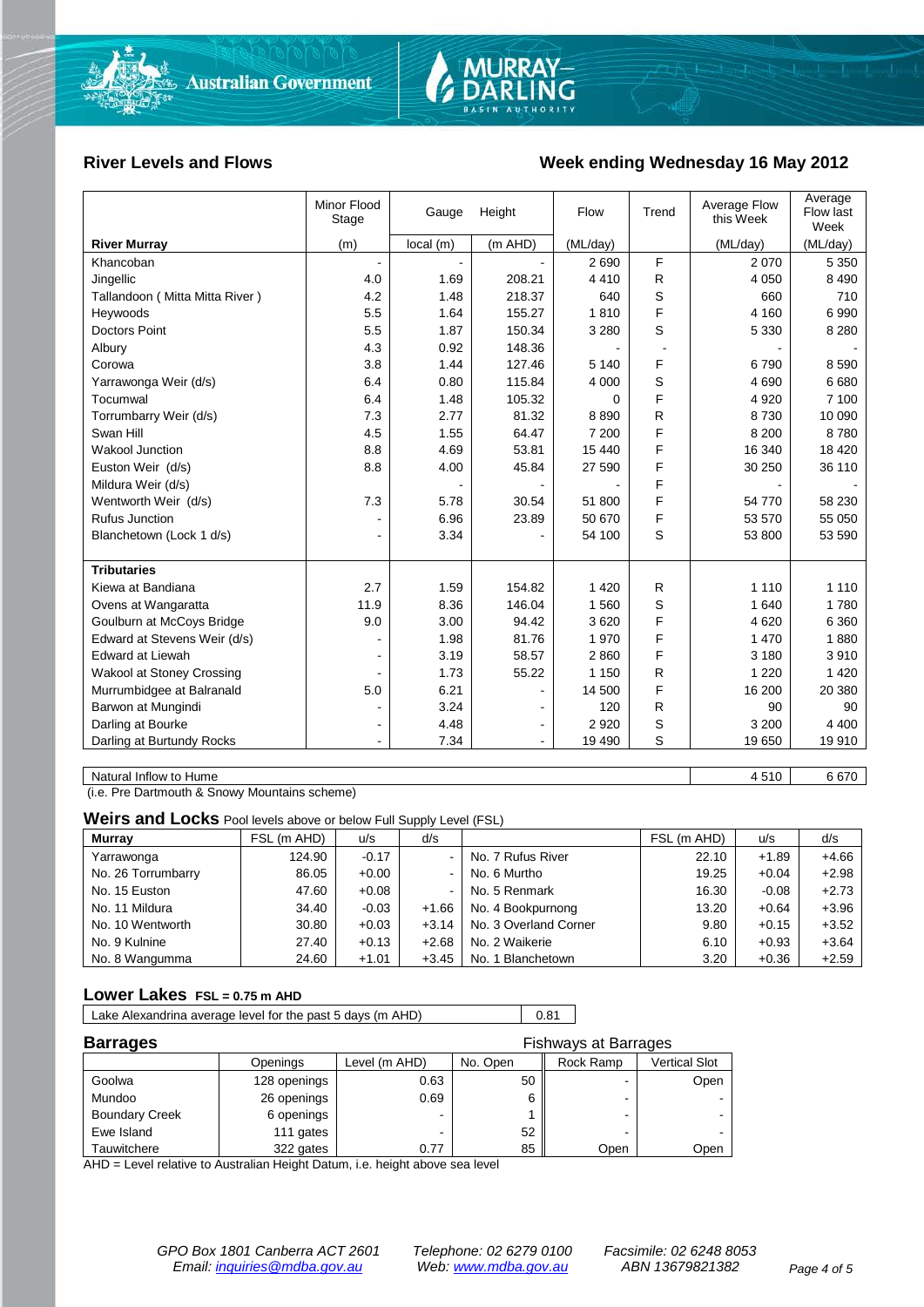

### River Levels and Flows **Week ending Wednesday 16 May 2012**

|                                | Minor Flood<br>Stage | Gauge    | Height         | Flow     | Trend  | Average Flow<br>this Week | Average<br>Flow last<br>Week |
|--------------------------------|----------------------|----------|----------------|----------|--------|---------------------------|------------------------------|
| <b>River Murray</b>            | (m)                  | local(m) | $(m$ AHD)      | (ML/day) |        | (ML/day)                  | (ML/day)                     |
| Khancoban                      |                      |          |                | 2690     | F      | 2070                      | 5 3 5 0                      |
| Jingellic                      | 4.0                  | 1.69     | 208.21         | 4 4 1 0  | R      | 4 0 5 0                   | 8 4 9 0                      |
| Tallandoon (Mitta Mitta River) | 4.2                  | 1.48     | 218.37         | 640      | S      | 660                       | 710                          |
| Heywoods                       | 5.5                  | 1.64     | 155.27         | 1810     | F      | 4 160                     | 6990                         |
| <b>Doctors Point</b>           | 5.5                  | 1.87     | 150.34         | 3 2 8 0  | S      | 5 3 3 0                   | 8 2 8 0                      |
| Albury                         | 4.3                  | 0.92     | 148.36         |          | $\sim$ |                           |                              |
| Corowa                         | 3.8                  | 1.44     | 127.46         | 5 1 4 0  | F      | 6790                      | 8 5 9 0                      |
| Yarrawonga Weir (d/s)          | 6.4                  | 0.80     | 115.84         | 4 0 0 0  | S      | 4690                      | 6680                         |
| Tocumwal                       | 6.4                  | 1.48     | 105.32         | 0        | F      | 4 9 20                    | 7 100                        |
| Torrumbarry Weir (d/s)         | 7.3                  | 2.77     | 81.32          | 8890     | R      | 8730                      | 10 090                       |
| Swan Hill                      | 4.5                  | 1.55     | 64.47          | 7 200    | F      | 8 2 0 0                   | 8780                         |
| Wakool Junction                | 8.8                  | 4.69     | 53.81          | 15 440   | F      | 16 340                    | 18 4 20                      |
| Euston Weir (d/s)              | 8.8                  | 4.00     | 45.84          | 27 590   | F      | 30 250                    | 36 110                       |
| Mildura Weir (d/s)             |                      |          |                |          | F      |                           |                              |
| Wentworth Weir (d/s)           | 7.3                  | 5.78     | 30.54          | 51 800   | F      | 54 770                    | 58 230                       |
| Rufus Junction                 |                      | 6.96     | 23.89          | 50 670   | F      | 53 570                    | 55 050                       |
| Blanchetown (Lock 1 d/s)       | ä,                   | 3.34     |                | 54 100   | S      | 53 800                    | 53 590                       |
|                                |                      |          |                |          |        |                           |                              |
| <b>Tributaries</b>             |                      |          |                |          |        |                           |                              |
| Kiewa at Bandiana              | 2.7                  | 1.59     | 154.82         | 1 4 2 0  | R      | 1 1 1 0                   | 1 1 1 0                      |
| Ovens at Wangaratta            | 11.9                 | 8.36     | 146.04         | 1 5 6 0  | S      | 1 640                     | 1780                         |
| Goulburn at McCoys Bridge      | 9.0                  | 3.00     | 94.42          | 3620     | F      | 4620                      | 6 3 6 0                      |
| Edward at Stevens Weir (d/s)   |                      | 1.98     | 81.76          | 1970     | F      | 1 4 7 0                   | 1880                         |
| <b>Edward at Liewah</b>        |                      | 3.19     | 58.57          | 2860     | F      | 3 1 8 0                   | 3910                         |
| Wakool at Stoney Crossing      |                      | 1.73     | 55.22          | 1 1 5 0  | R      | 1 2 2 0                   | 1 4 2 0                      |
| Murrumbidgee at Balranald      | 5.0                  | 6.21     |                | 14 500   | F      | 16 200                    | 20 380                       |
| Barwon at Mungindi             |                      | 3.24     |                | 120      | R      | 90                        | 90                           |
| Darling at Bourke              | ۰                    | 4.48     | $\blacksquare$ | 2 9 2 0  | S      | 3 200                     | 4 4 0 0                      |
| Darling at Burtundy Rocks      |                      | 7.34     | $\blacksquare$ | 19 490   | S      | 19 650                    | 19 910                       |
|                                |                      |          |                |          |        |                           |                              |
| Natural Inflow to Hume         |                      |          |                |          |        | 4510                      | 6670                         |

(i.e. Pre Dartmouth & Snowy Mountains scheme)

**Weirs and Locks** Pool levels above or below Full Supply Level (FSL)

| <b>Murrav</b>      | FSL (m AHD) | u/s     | d/s     |                       | FSL (m AHD) | u/s     | d/s     |
|--------------------|-------------|---------|---------|-----------------------|-------------|---------|---------|
| Yarrawonga         | 124.90      | $-0.17$ |         | No. 7 Rufus River     | 22.10       | $+1.89$ | $+4.66$ |
| No. 26 Torrumbarry | 86.05       | $+0.00$ |         | No. 6 Murtho          | 19.25       | $+0.04$ | $+2.98$ |
| No. 15 Euston      | 47.60       | $+0.08$ |         | No. 5 Renmark         | 16.30       | $-0.08$ | $+2.73$ |
| No. 11 Mildura     | 34.40       | $-0.03$ | $+1.66$ | No. 4 Bookpurnong     | 13.20       | $+0.64$ | $+3.96$ |
| No. 10 Wentworth   | 30.80       | $+0.03$ | $+3.14$ | No. 3 Overland Corner | 9.80        | $+0.15$ | $+3.52$ |
| No. 9 Kulnine      | 27.40       | $+0.13$ | $+2.68$ | No. 2 Waikerie        | 6.10        | $+0.93$ | $+3.64$ |
| No. 8 Wangumma     | 24.60       | $+1.01$ | $+3.45$ | No. 1 Blanchetown     | 3.20        | $+0.36$ | $+2.59$ |

#### **Lower Lakes FSL = 0.75 m AHD**

| Lake Alexandrina average level for the past 5 days (m AHD) | 0.81 |
|------------------------------------------------------------|------|
|                                                            |      |

| <b>Barrages</b>       | <b>Fishways at Barrages</b> |               |          |           |               |  |
|-----------------------|-----------------------------|---------------|----------|-----------|---------------|--|
|                       | Openings                    | Level (m AHD) | No. Open | Rock Ramp | Vertical Slot |  |
| Goolwa                | 128 openings                | 0.63          | 50       |           | Open          |  |
| Mundoo                | 26 openings                 | 0.69          | 6        |           |               |  |
| <b>Boundary Creek</b> | 6 openings                  |               |          |           | $\sim$        |  |
| Ewe Island            | 111 gates                   |               | 52       | -         |               |  |
| Tauwitchere           | 322 gates                   | 0.77          | 85       | Open      | Open          |  |

AHD = Level relative to Australian Height Datum, i.e. height above sea level